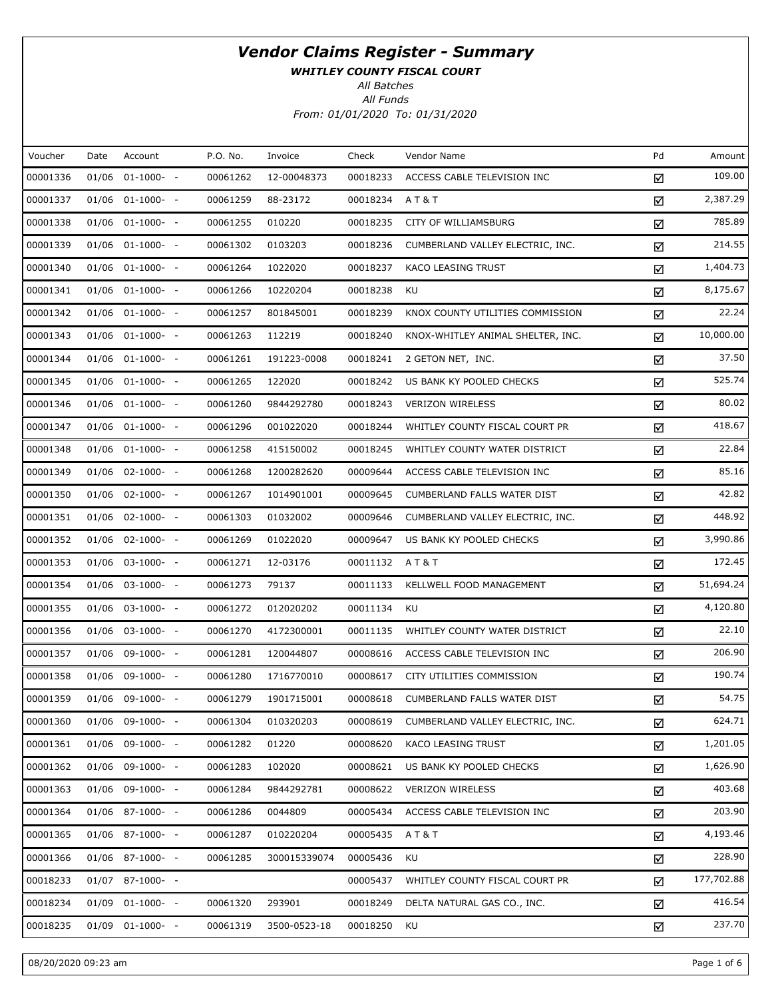WHITLEY COUNTY FISCAL COURT

All Batches

| Voucher  | Date  | Account               | P.O. No. | Invoice      | Check    | Vendor Name                        | Pd | Amount     |
|----------|-------|-----------------------|----------|--------------|----------|------------------------------------|----|------------|
| 00001336 | 01/06 | $01 - 1000 - -$       | 00061262 | 12-00048373  | 00018233 | ACCESS CABLE TELEVISION INC        | ☑  | 109.00     |
| 00001337 |       | $01/06$ $01-1000-$ -  | 00061259 | 88-23172     | 00018234 | <b>AT&amp;T</b>                    | ☑  | 2,387.29   |
| 00001338 |       | $01/06$ $01-1000-$ -  | 00061255 | 010220       | 00018235 | CITY OF WILLIAMSBURG               | ☑  | 785.89     |
| 00001339 |       | $01/06$ $01-1000-$ -  | 00061302 | 0103203      | 00018236 | CUMBERLAND VALLEY ELECTRIC, INC.   | ☑  | 214.55     |
| 00001340 |       | $01/06$ $01-1000-$ -  | 00061264 | 1022020      | 00018237 | <b>KACO LEASING TRUST</b>          | ☑  | 1,404.73   |
| 00001341 |       | $01/06$ $01-1000-$ -  | 00061266 | 10220204     | 00018238 | KU                                 | ☑  | 8,175.67   |
| 00001342 |       | $01/06$ $01-1000-$ -  | 00061257 | 801845001    | 00018239 | KNOX COUNTY UTILITIES COMMISSION   | ☑  | 22.24      |
| 00001343 |       | $01/06$ $01-1000-$ -  | 00061263 | 112219       | 00018240 | KNOX-WHITLEY ANIMAL SHELTER, INC.  | ☑  | 10,000.00  |
| 00001344 |       | $01/06$ $01-1000-$ -  | 00061261 | 191223-0008  | 00018241 | 2 GETON NET, INC.                  | ☑  | 37.50      |
| 00001345 |       | $01/06$ $01-1000-$ -  | 00061265 | 122020       | 00018242 | US BANK KY POOLED CHECKS           | ☑  | 525.74     |
| 00001346 |       | $01/06$ $01-1000-$ -  | 00061260 | 9844292780   | 00018243 | <b>VERIZON WIRELESS</b>            | ☑  | 80.02      |
| 00001347 |       | $01/06$ $01-1000-$ -  | 00061296 | 001022020    | 00018244 | WHITLEY COUNTY FISCAL COURT PR     | ☑  | 418.67     |
| 00001348 |       | $01/06$ $01-1000-$ -  | 00061258 | 415150002    | 00018245 | WHITLEY COUNTY WATER DISTRICT      | ☑  | 22.84      |
| 00001349 |       | $01/06$ $02-1000$ - - | 00061268 | 1200282620   | 00009644 | ACCESS CABLE TELEVISION INC        | ☑  | 85.16      |
| 00001350 |       | $01/06$ $02-1000$ - - | 00061267 | 1014901001   | 00009645 | CUMBERLAND FALLS WATER DIST        | ☑  | 42.82      |
| 00001351 |       | $01/06$ $02-1000$ - - | 00061303 | 01032002     | 00009646 | CUMBERLAND VALLEY ELECTRIC, INC.   | ☑  | 448.92     |
| 00001352 |       | $01/06$ $02-1000$ - - | 00061269 | 01022020     | 00009647 | US BANK KY POOLED CHECKS           | ☑  | 3,990.86   |
| 00001353 |       | $01/06$ 03-1000- -    | 00061271 | 12-03176     | 00011132 | <b>A T &amp; T</b>                 | ☑  | 172.45     |
| 00001354 |       | $01/06$ 03-1000- -    | 00061273 | 79137        | 00011133 | KELLWELL FOOD MANAGEMENT           | ☑  | 51,694.24  |
| 00001355 |       | $01/06$ 03-1000- -    | 00061272 | 012020202    | 00011134 | KU                                 | ☑  | 4,120.80   |
| 00001356 |       | $01/06$ 03-1000- -    | 00061270 | 4172300001   | 00011135 | WHITLEY COUNTY WATER DISTRICT      | ☑  | 22.10      |
| 00001357 |       | $01/06$ 09-1000- -    | 00061281 | 120044807    | 00008616 | ACCESS CABLE TELEVISION INC        | ☑  | 206.90     |
| 00001358 |       | $01/06$ 09-1000- -    | 00061280 | 1716770010   | 00008617 | CITY UTILITIES COMMISSION          | ☑  | 190.74     |
| 00001359 |       | $01/06$ 09-1000- -    | 00061279 | 1901715001   | 00008618 | <b>CUMBERLAND FALLS WATER DIST</b> | ☑  | 54.75      |
| 00001360 |       | 01/06 09-1000- -      | 00061304 | 010320203    | 00008619 | CUMBERLAND VALLEY ELECTRIC, INC.   | ☑  | 624.71     |
| 00001361 |       | $01/06$ 09-1000- -    | 00061282 | 01220        | 00008620 | KACO LEASING TRUST                 | ☑  | 1,201.05   |
| 00001362 |       | $01/06$ 09-1000- -    | 00061283 | 102020       | 00008621 | US BANK KY POOLED CHECKS           | ☑  | 1,626.90   |
| 00001363 |       | $01/06$ 09-1000- -    | 00061284 | 9844292781   | 00008622 | <b>VERIZON WIRELESS</b>            | ☑  | 403.68     |
| 00001364 |       | $01/06$ 87-1000- -    | 00061286 | 0044809      | 00005434 | ACCESS CABLE TELEVISION INC        | ☑  | 203.90     |
| 00001365 |       | $01/06$ 87-1000- -    | 00061287 | 010220204    | 00005435 | AT&T                               | ☑  | 4,193.46   |
| 00001366 |       | $01/06$ 87-1000- -    | 00061285 | 300015339074 | 00005436 | KU                                 | ☑  | 228.90     |
| 00018233 |       | $01/07$ 87-1000- -    |          |              | 00005437 | WHITLEY COUNTY FISCAL COURT PR     | ☑  | 177,702.88 |
| 00018234 |       | $01/09$ $01-1000-$ -  | 00061320 | 293901       | 00018249 | DELTA NATURAL GAS CO., INC.        | ☑  | 416.54     |
| 00018235 |       | $01/09$ $01-1000-$ -  | 00061319 | 3500-0523-18 | 00018250 | KU                                 | ☑  | 237.70     |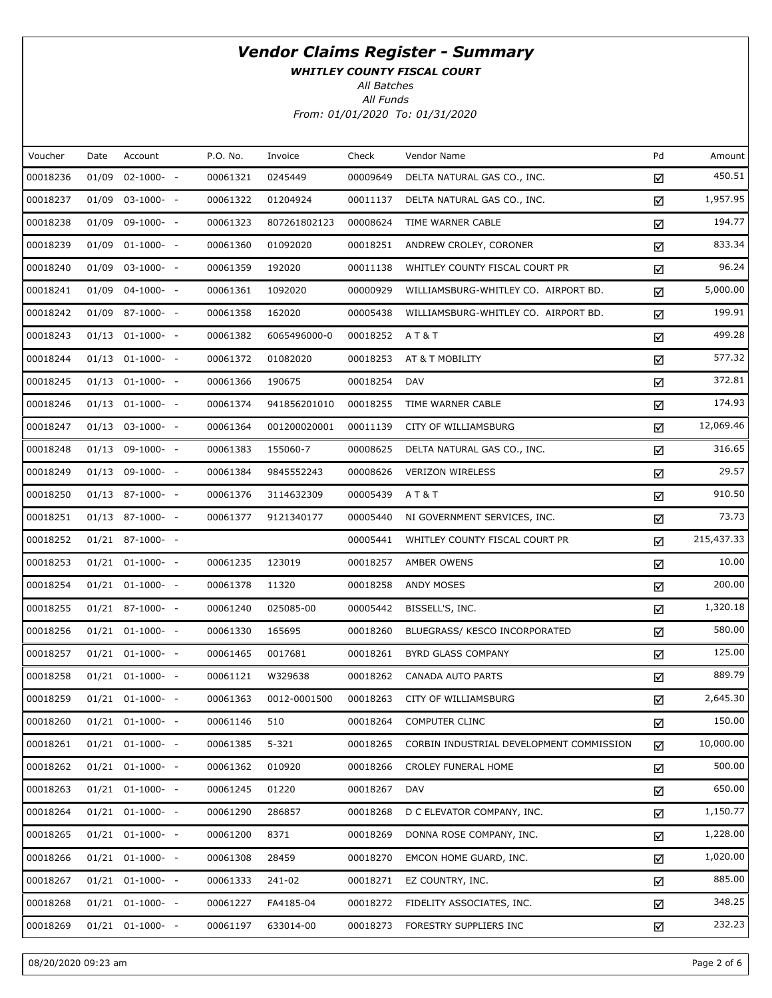WHITLEY COUNTY FISCAL COURT

All Batches

| Voucher  | Date  | Account              | P.O. No. | Invoice      | Check    | Vendor Name                              | Pd | Amount     |
|----------|-------|----------------------|----------|--------------|----------|------------------------------------------|----|------------|
| 00018236 | 01/09 | $02 - 1000 - -$      | 00061321 | 0245449      | 00009649 | DELTA NATURAL GAS CO., INC.              | ☑  | 450.51     |
| 00018237 |       | $01/09$ 03-1000- -   | 00061322 | 01204924     | 00011137 | DELTA NATURAL GAS CO., INC.              | ☑  | 1,957.95   |
| 00018238 | 01/09 | 09-1000- -           | 00061323 | 807261802123 | 00008624 | TIME WARNER CABLE                        | ☑  | 194.77     |
| 00018239 |       | $01/09$ $01-1000-$ - | 00061360 | 01092020     | 00018251 | ANDREW CROLEY, CORONER                   | ☑  | 833.34     |
| 00018240 |       | $01/09$ 03-1000- -   | 00061359 | 192020       | 00011138 | WHITLEY COUNTY FISCAL COURT PR           | ☑  | 96.24      |
| 00018241 |       | $01/09$ $04-1000-$ - | 00061361 | 1092020      | 00000929 | WILLIAMSBURG-WHITLEY CO. AIRPORT BD.     | ☑  | 5,000.00   |
| 00018242 |       | 01/09 87-1000- -     | 00061358 | 162020       | 00005438 | WILLIAMSBURG-WHITLEY CO. AIRPORT BD.     | ☑  | 199.91     |
| 00018243 |       | $01/13$ $01-1000-$ - | 00061382 | 6065496000-0 | 00018252 | AT&T                                     | ☑  | 499.28     |
| 00018244 |       | $01/13$ $01-1000-$ - | 00061372 | 01082020     | 00018253 | AT & T MOBILITY                          | ☑  | 577.32     |
| 00018245 |       | $01/13$ $01-1000-$ - | 00061366 | 190675       | 00018254 | DAV                                      | ☑  | 372.81     |
| 00018246 |       | $01/13$ $01-1000-$ - | 00061374 | 941856201010 | 00018255 | TIME WARNER CABLE                        | ☑  | 174.93     |
| 00018247 |       | $01/13$ 03-1000- -   | 00061364 | 001200020001 | 00011139 | CITY OF WILLIAMSBURG                     | ☑  | 12,069.46  |
| 00018248 |       | $01/13$ 09-1000- -   | 00061383 | 155060-7     | 00008625 | DELTA NATURAL GAS CO., INC.              | ☑  | 316.65     |
| 00018249 |       | $01/13$ 09-1000- -   | 00061384 | 9845552243   | 00008626 | <b>VERIZON WIRELESS</b>                  | ☑  | 29.57      |
| 00018250 |       | $01/13$ 87-1000- -   | 00061376 | 3114632309   | 00005439 | A T & T                                  | ☑  | 910.50     |
| 00018251 |       | $01/13$ 87-1000- -   | 00061377 | 9121340177   | 00005440 | NI GOVERNMENT SERVICES, INC.             | ☑  | 73.73      |
| 00018252 |       | $01/21$ 87-1000- -   |          |              | 00005441 | WHITLEY COUNTY FISCAL COURT PR           | ☑  | 215,437.33 |
| 00018253 |       | $01/21$ $01-1000-$ - | 00061235 | 123019       | 00018257 | AMBER OWENS                              | ☑  | 10.00      |
| 00018254 |       | $01/21$ $01-1000-$ - | 00061378 | 11320        | 00018258 | ANDY MOSES                               | ☑  | 200.00     |
| 00018255 |       | $01/21$ 87-1000- -   | 00061240 | 025085-00    | 00005442 | BISSELL'S, INC.                          | ☑  | 1,320.18   |
| 00018256 |       | $01/21$ $01-1000-$ - | 00061330 | 165695       | 00018260 | BLUEGRASS/ KESCO INCORPORATED            | ☑  | 580.00     |
| 00018257 |       | $01/21$ $01-1000-$ - | 00061465 | 0017681      | 00018261 | <b>BYRD GLASS COMPANY</b>                | ☑  | 125.00     |
| 00018258 |       | $01/21$ $01-1000-$ - | 00061121 | W329638      | 00018262 | CANADA AUTO PARTS                        | ☑  | 889.79     |
| 00018259 |       | $01/21$ $01-1000-$ - | 00061363 | 0012-0001500 | 00018263 | CITY OF WILLIAMSBURG                     | ☑  | 2,645.30   |
| 00018260 |       | $01/21$ $01-1000-$ - | 00061146 | 510          | 00018264 | COMPUTER CLINC                           | ☑  | 150.00     |
| 00018261 |       | $01/21$ $01-1000-$ - | 00061385 | $5 - 321$    | 00018265 | CORBIN INDUSTRIAL DEVELOPMENT COMMISSION | ☑  | 10,000.00  |
| 00018262 |       | $01/21$ $01-1000-$ - | 00061362 | 010920       | 00018266 | <b>CROLEY FUNERAL HOME</b>               | ☑  | 500.00     |
| 00018263 |       | $01/21$ $01-1000-$ - | 00061245 | 01220        | 00018267 | DAV                                      | ☑  | 650.00     |
| 00018264 |       | $01/21$ $01-1000-$ - | 00061290 | 286857       | 00018268 | D C ELEVATOR COMPANY, INC.               | ☑  | 1,150.77   |
| 00018265 |       | $01/21$ $01-1000-$ - | 00061200 | 8371         | 00018269 | DONNA ROSE COMPANY, INC.                 | ☑  | 1,228.00   |
| 00018266 |       | $01/21$ $01-1000-$ - | 00061308 | 28459        | 00018270 | EMCON HOME GUARD, INC.                   | ☑  | 1,020.00   |
| 00018267 |       | $01/21$ $01-1000-$ - | 00061333 | 241-02       | 00018271 | EZ COUNTRY, INC.                         | ☑  | 885.00     |
| 00018268 |       | $01/21$ $01-1000-$ - | 00061227 | FA4185-04    | 00018272 | FIDELITY ASSOCIATES, INC.                | ☑  | 348.25     |
| 00018269 |       | $01/21$ $01-1000-$ - | 00061197 | 633014-00    | 00018273 | FORESTRY SUPPLIERS INC                   | ☑  | 232.23     |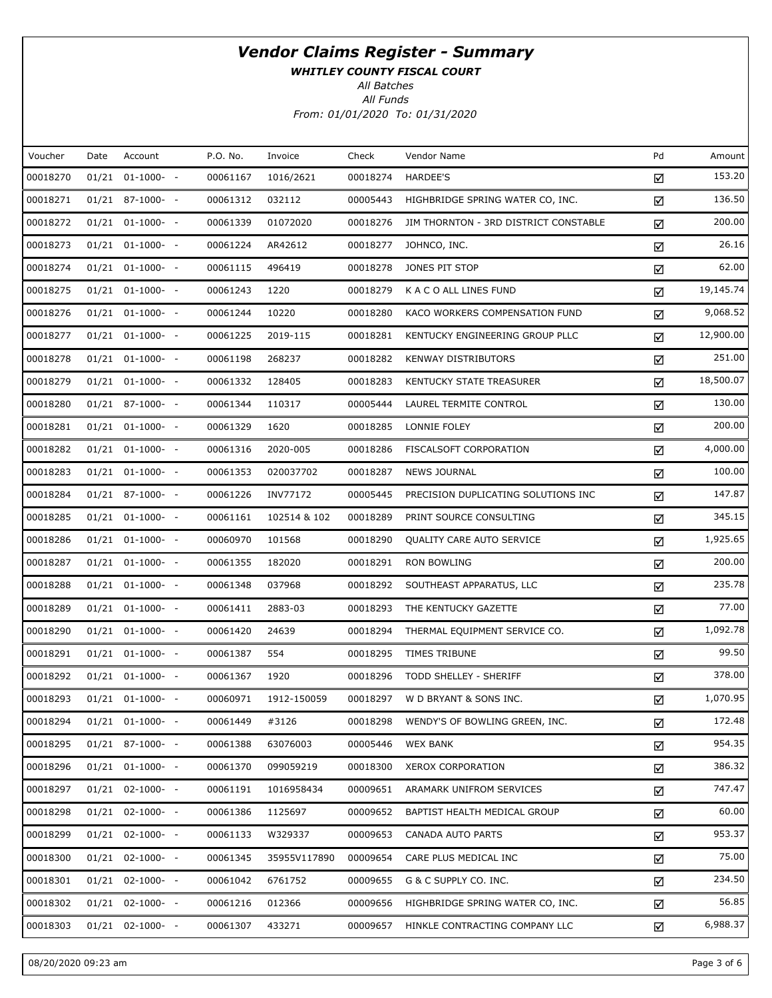WHITLEY COUNTY FISCAL COURT

All Batches

| Voucher  | Date | Account              | P.O. No. | Invoice      | Check    | Vendor Name                           | Pd | Amount    |
|----------|------|----------------------|----------|--------------|----------|---------------------------------------|----|-----------|
| 00018270 |      | $01/21$ $01-1000-$ - | 00061167 | 1016/2621    | 00018274 | <b>HARDEE'S</b>                       | ☑  | 153.20    |
| 00018271 |      | $01/21$ 87-1000- -   | 00061312 | 032112       | 00005443 | HIGHBRIDGE SPRING WATER CO, INC.      | ☑  | 136.50    |
| 00018272 |      | $01/21$ $01-1000-$ - | 00061339 | 01072020     | 00018276 | JIM THORNTON - 3RD DISTRICT CONSTABLE | ☑  | 200.00    |
| 00018273 |      | $01/21$ $01-1000-$ - | 00061224 | AR42612      | 00018277 | JOHNCO, INC.                          | ☑  | 26.16     |
| 00018274 |      | $01/21$ $01-1000-$ - | 00061115 | 496419       | 00018278 | JONES PIT STOP                        | ☑  | 62.00     |
| 00018275 |      | $01/21$ $01-1000-$ - | 00061243 | 1220         | 00018279 | K A C O ALL LINES FUND                | ☑  | 19,145.74 |
| 00018276 |      | $01/21$ $01-1000-$ - | 00061244 | 10220        | 00018280 | KACO WORKERS COMPENSATION FUND        | ☑  | 9,068.52  |
| 00018277 |      | $01/21$ $01-1000-$ - | 00061225 | 2019-115     | 00018281 | KENTUCKY ENGINEERING GROUP PLLC       | ☑  | 12,900.00 |
| 00018278 |      | $01/21$ $01-1000-$ - | 00061198 | 268237       | 00018282 | <b>KENWAY DISTRIBUTORS</b>            | ☑  | 251.00    |
| 00018279 |      | $01/21$ $01-1000-$ - | 00061332 | 128405       | 00018283 | KENTUCKY STATE TREASURER              | ☑  | 18,500.07 |
| 00018280 |      | $01/21$ 87-1000- -   | 00061344 | 110317       | 00005444 | LAUREL TERMITE CONTROL                | ☑  | 130.00    |
| 00018281 |      | $01/21$ $01-1000-$ - | 00061329 | 1620         | 00018285 | LONNIE FOLEY                          | ☑  | 200.00    |
| 00018282 |      | $01/21$ $01-1000-$ - | 00061316 | 2020-005     | 00018286 | FISCALSOFT CORPORATION                | ☑  | 4,000.00  |
| 00018283 |      | $01/21$ $01-1000-$ - | 00061353 | 020037702    | 00018287 | <b>NEWS JOURNAL</b>                   | ☑  | 100.00    |
| 00018284 |      | $01/21$ 87-1000- -   | 00061226 | INV77172     | 00005445 | PRECISION DUPLICATING SOLUTIONS INC   | ☑  | 147.87    |
| 00018285 |      | $01/21$ $01-1000-$ - | 00061161 | 102514 & 102 | 00018289 | PRINT SOURCE CONSULTING               | ☑  | 345.15    |
| 00018286 |      | $01/21$ $01-1000-$ - | 00060970 | 101568       | 00018290 | QUALITY CARE AUTO SERVICE             | ☑  | 1,925.65  |
| 00018287 |      | $01/21$ $01-1000-$ - | 00061355 | 182020       | 00018291 | <b>RON BOWLING</b>                    | ☑  | 200.00    |
| 00018288 |      | $01/21$ $01-1000-$ - | 00061348 | 037968       | 00018292 | SOUTHEAST APPARATUS, LLC              | ☑  | 235.78    |
| 00018289 |      | $01/21$ $01-1000-$ - | 00061411 | 2883-03      | 00018293 | THE KENTUCKY GAZETTE                  | ☑  | 77.00     |
| 00018290 |      | $01/21$ $01-1000-$ - | 00061420 | 24639        | 00018294 | THERMAL EQUIPMENT SERVICE CO.         | ☑  | 1,092.78  |
| 00018291 |      | $01/21$ $01-1000-$ - | 00061387 | 554          | 00018295 | TIMES TRIBUNE                         | ☑  | 99.50     |
| 00018292 |      | $01/21$ $01-1000-$ - | 00061367 | 1920         | 00018296 | TODD SHELLEY - SHERIFF                | ☑  | 378.00    |
| 00018293 |      | $01/21$ $01-1000-$ - | 00060971 | 1912-150059  | 00018297 | W D BRYANT & SONS INC.                | ☑  | 1,070.95  |
| 00018294 |      | $01/21$ $01-1000-$ - | 00061449 | #3126        | 00018298 | WENDY'S OF BOWLING GREEN, INC.        | ☑  | 172.48    |
| 00018295 |      | $01/21$ 87-1000- -   | 00061388 | 63076003     | 00005446 | <b>WEX BANK</b>                       | ☑  | 954.35    |
| 00018296 |      | $01/21$ $01-1000-$ - | 00061370 | 099059219    | 00018300 | <b>XEROX CORPORATION</b>              | ☑  | 386.32    |
| 00018297 |      | $01/21$ 02-1000- -   | 00061191 | 1016958434   | 00009651 | ARAMARK UNIFROM SERVICES              | ☑  | 747.47    |
| 00018298 |      | $01/21$ 02-1000- -   | 00061386 | 1125697      | 00009652 | BAPTIST HEALTH MEDICAL GROUP          | ☑  | 60.00     |
| 00018299 |      | $01/21$ 02-1000- -   | 00061133 | W329337      | 00009653 | CANADA AUTO PARTS                     | ☑  | 953.37    |
| 00018300 |      | $01/21$ 02-1000- -   | 00061345 | 35955V117890 | 00009654 | CARE PLUS MEDICAL INC                 | ☑  | 75.00     |
| 00018301 |      | $01/21$ 02-1000- -   | 00061042 | 6761752      | 00009655 | G & C SUPPLY CO. INC.                 | ☑  | 234.50    |
| 00018302 |      | $01/21$ 02-1000- -   | 00061216 | 012366       | 00009656 | HIGHBRIDGE SPRING WATER CO, INC.      | ☑  | 56.85     |
| 00018303 |      | $01/21$ 02-1000- -   | 00061307 | 433271       | 00009657 | HINKLE CONTRACTING COMPANY LLC        | ☑  | 6,988.37  |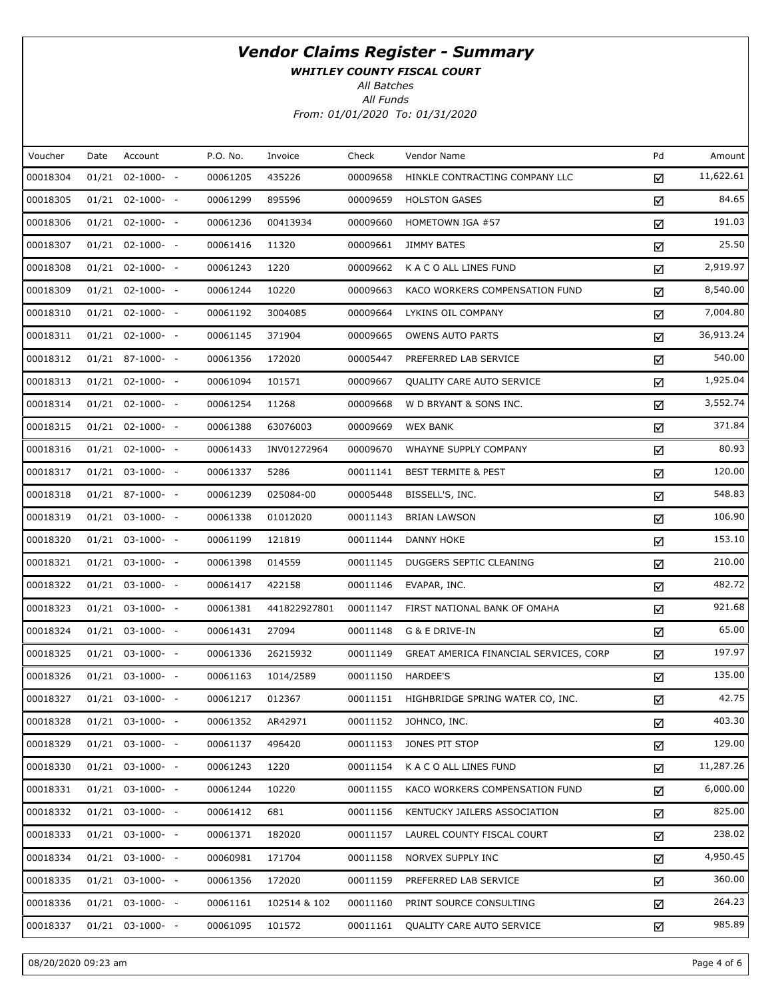WHITLEY COUNTY FISCAL COURT

All Batches

| Voucher  | Date | Account              | P.O. No. | Invoice      | Check    | Vendor Name                            | Pd | Amount    |
|----------|------|----------------------|----------|--------------|----------|----------------------------------------|----|-----------|
| 00018304 |      | $01/21$ $02-1000-$ - | 00061205 | 435226       | 00009658 | HINKLE CONTRACTING COMPANY LLC         | ☑  | 11,622.61 |
| 00018305 |      | $01/21$ $02-1000-$ - | 00061299 | 895596       | 00009659 | <b>HOLSTON GASES</b>                   | ☑  | 84.65     |
| 00018306 |      | $01/21$ $02-1000-$ - | 00061236 | 00413934     | 00009660 | HOMETOWN IGA #57                       | ☑  | 191.03    |
| 00018307 |      | $01/21$ $02-1000-$ - | 00061416 | 11320        | 00009661 | <b>JIMMY BATES</b>                     | ☑  | 25.50     |
| 00018308 |      | $01/21$ $02-1000-$ - | 00061243 | 1220         | 00009662 | K A C O ALL LINES FUND                 | ☑  | 2,919.97  |
| 00018309 |      | $01/21$ $02-1000-$ - | 00061244 | 10220        | 00009663 | KACO WORKERS COMPENSATION FUND         | ☑  | 8,540.00  |
| 00018310 |      | $01/21$ $02-1000-$ - | 00061192 | 3004085      | 00009664 | LYKINS OIL COMPANY                     | ☑  | 7,004.80  |
| 00018311 |      | $01/21$ $02-1000-$ - | 00061145 | 371904       | 00009665 | <b>OWENS AUTO PARTS</b>                | ☑  | 36,913.24 |
| 00018312 |      | $01/21$ 87-1000- -   | 00061356 | 172020       | 00005447 | PREFERRED LAB SERVICE                  | ☑  | 540.00    |
| 00018313 |      | $01/21$ $02-1000-$ - | 00061094 | 101571       | 00009667 | QUALITY CARE AUTO SERVICE              | ☑  | 1,925.04  |
| 00018314 |      | $01/21$ $02-1000-$ - | 00061254 | 11268        | 00009668 | W D BRYANT & SONS INC.                 | ☑  | 3,552.74  |
| 00018315 |      | $01/21$ $02-1000-$ - | 00061388 | 63076003     | 00009669 | <b>WEX BANK</b>                        | ☑  | 371.84    |
| 00018316 |      | $01/21$ $02-1000-$ - | 00061433 | INV01272964  | 00009670 | WHAYNE SUPPLY COMPANY                  | ☑  | 80.93     |
| 00018317 |      | $01/21$ 03-1000- -   | 00061337 | 5286         | 00011141 | <b>BEST TERMITE &amp; PEST</b>         | ☑  | 120.00    |
| 00018318 |      | $01/21$ 87-1000- -   | 00061239 | 025084-00    | 00005448 | BISSELL'S, INC.                        | ☑  | 548.83    |
| 00018319 |      | $01/21$ 03-1000- -   | 00061338 | 01012020     | 00011143 | <b>BRIAN LAWSON</b>                    | ☑  | 106.90    |
| 00018320 |      | $01/21$ 03-1000- -   | 00061199 | 121819       | 00011144 | <b>DANNY HOKE</b>                      | ☑  | 153.10    |
| 00018321 |      | $01/21$ 03-1000- -   | 00061398 | 014559       | 00011145 | DUGGERS SEPTIC CLEANING                | ☑  | 210.00    |
| 00018322 |      | $01/21$ 03-1000- -   | 00061417 | 422158       | 00011146 | EVAPAR, INC.                           | ☑  | 482.72    |
| 00018323 |      | $01/21$ 03-1000- -   | 00061381 | 441822927801 | 00011147 | FIRST NATIONAL BANK OF OMAHA           | ☑  | 921.68    |
| 00018324 |      | $01/21$ 03-1000- -   | 00061431 | 27094        | 00011148 | G & E DRIVE-IN                         | ☑  | 65.00     |
| 00018325 |      | $01/21$ 03-1000- -   | 00061336 | 26215932     | 00011149 | GREAT AMERICA FINANCIAL SERVICES, CORP | ☑  | 197.97    |
| 00018326 |      | $01/21$ 03-1000- -   | 00061163 | 1014/2589    | 00011150 | HARDEE'S                               | ☑  | 135.00    |
| 00018327 |      | $01/21$ 03-1000- -   | 00061217 | 012367       | 00011151 | HIGHBRIDGE SPRING WATER CO, INC.       | ☑  | 42.75     |
| 00018328 |      | $01/21$ 03-1000- -   | 00061352 | AR42971      | 00011152 | JOHNCO, INC.                           | ☑  | 403.30    |
| 00018329 |      | $01/21$ 03-1000- -   | 00061137 | 496420       | 00011153 | JONES PIT STOP                         | ☑  | 129.00    |
| 00018330 |      | $01/21$ $03-1000-$ - | 00061243 | 1220         | 00011154 | K A C O ALL LINES FUND                 | ☑  | 11,287.26 |
| 00018331 |      | $01/21$ $03-1000-$ - | 00061244 | 10220        | 00011155 | KACO WORKERS COMPENSATION FUND         | ☑  | 6,000.00  |
| 00018332 |      | $01/21$ $03-1000-$ - | 00061412 | 681          | 00011156 | KENTUCKY JAILERS ASSOCIATION           | ☑  | 825.00    |
| 00018333 |      | $01/21$ $03-1000-$ - | 00061371 | 182020       | 00011157 | LAUREL COUNTY FISCAL COURT             | ☑  | 238.02    |
| 00018334 |      | $01/21$ $03-1000-$ - | 00060981 | 171704       | 00011158 | NORVEX SUPPLY INC                      | ☑  | 4,950.45  |
| 00018335 |      | $01/21$ $03-1000-$ - | 00061356 | 172020       | 00011159 | PREFERRED LAB SERVICE                  | ☑  | 360.00    |
| 00018336 |      | $01/21$ $03-1000-$ - | 00061161 | 102514 & 102 | 00011160 | PRINT SOURCE CONSULTING                | ☑  | 264.23    |
| 00018337 |      | $01/21$ 03-1000- -   | 00061095 | 101572       | 00011161 | QUALITY CARE AUTO SERVICE              | ☑  | 985.89    |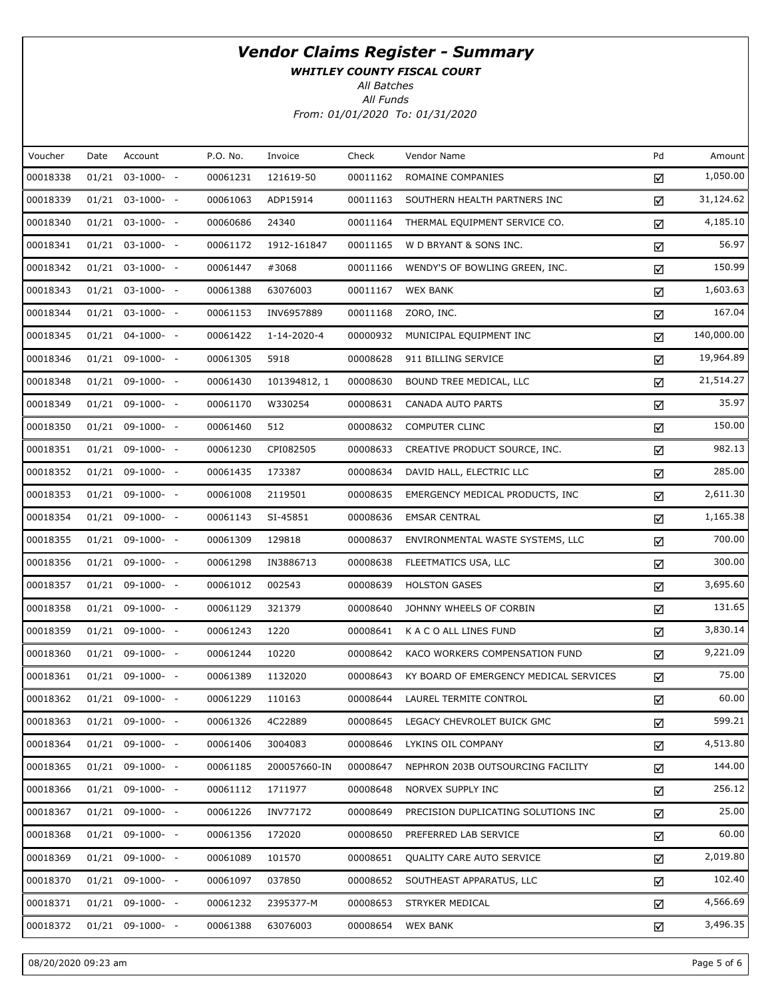WHITLEY COUNTY FISCAL COURT

All Batches

| Voucher  | Date | Account              | P.O. No. | Invoice      | Check    | Vendor Name                            | Pd | Amount     |
|----------|------|----------------------|----------|--------------|----------|----------------------------------------|----|------------|
| 00018338 |      | $01/21$ 03-1000- -   | 00061231 | 121619-50    | 00011162 | ROMAINE COMPANIES                      | ☑  | 1,050.00   |
| 00018339 |      | $01/21$ $03-1000-$ - | 00061063 | ADP15914     | 00011163 | SOUTHERN HEALTH PARTNERS INC           | ☑  | 31,124.62  |
| 00018340 |      | $01/21$ 03-1000- -   | 00060686 | 24340        | 00011164 | THERMAL EQUIPMENT SERVICE CO.          | ☑  | 4,185.10   |
| 00018341 |      | $01/21$ $03-1000-$ - | 00061172 | 1912-161847  | 00011165 | W D BRYANT & SONS INC.                 | ☑  | 56.97      |
| 00018342 |      | $01/21$ 03-1000- -   | 00061447 | #3068        | 00011166 | WENDY'S OF BOWLING GREEN, INC.         | ☑  | 150.99     |
| 00018343 |      | $01/21$ $03-1000-$ - | 00061388 | 63076003     | 00011167 | <b>WEX BANK</b>                        | ☑  | 1,603.63   |
| 00018344 |      | $01/21$ 03-1000- -   | 00061153 | INV6957889   | 00011168 | ZORO, INC.                             | ☑  | 167.04     |
| 00018345 |      | $01/21$ $04-1000-$ - | 00061422 | 1-14-2020-4  | 00000932 | MUNICIPAL EQUIPMENT INC                | ☑  | 140,000.00 |
| 00018346 |      | $01/21$ 09-1000- -   | 00061305 | 5918         | 00008628 | 911 BILLING SERVICE                    | ☑  | 19,964.89  |
| 00018348 |      | $01/21$ 09-1000- -   | 00061430 | 101394812, 1 | 00008630 | BOUND TREE MEDICAL, LLC                | ☑  | 21,514.27  |
| 00018349 |      | $01/21$ 09-1000- -   | 00061170 | W330254      | 00008631 | CANADA AUTO PARTS                      | ☑  | 35.97      |
| 00018350 |      | $01/21$ 09-1000- -   | 00061460 | 512          | 00008632 | <b>COMPUTER CLINC</b>                  | ☑  | 150.00     |
| 00018351 |      | $01/21$ 09-1000- -   | 00061230 | CPI082505    | 00008633 | CREATIVE PRODUCT SOURCE, INC.          | ☑  | 982.13     |
| 00018352 |      | $01/21$ 09-1000- -   | 00061435 | 173387       | 00008634 | DAVID HALL, ELECTRIC LLC               | ☑  | 285.00     |
| 00018353 |      | $01/21$ 09-1000- -   | 00061008 | 2119501      | 00008635 | EMERGENCY MEDICAL PRODUCTS, INC        | ☑  | 2,611.30   |
| 00018354 |      | $01/21$ 09-1000- -   | 00061143 | SI-45851     | 00008636 | <b>EMSAR CENTRAL</b>                   | ☑  | 1,165.38   |
| 00018355 |      | $01/21$ 09-1000- -   | 00061309 | 129818       | 00008637 | ENVIRONMENTAL WASTE SYSTEMS, LLC       | ☑  | 700.00     |
| 00018356 |      | $01/21$ 09-1000- -   | 00061298 | IN3886713    | 00008638 | FLEETMATICS USA, LLC                   | ☑  | 300.00     |
| 00018357 |      | $01/21$ 09-1000- -   | 00061012 | 002543       | 00008639 | <b>HOLSTON GASES</b>                   | ☑  | 3,695.60   |
| 00018358 |      | $01/21$ 09-1000- -   | 00061129 | 321379       | 00008640 | JOHNNY WHEELS OF CORBIN                | ☑  | 131.65     |
| 00018359 |      | $01/21$ 09-1000- -   | 00061243 | 1220         | 00008641 | K A C O ALL LINES FUND                 | ☑  | 3,830.14   |
| 00018360 |      | $01/21$ 09-1000- -   | 00061244 | 10220        | 00008642 | KACO WORKERS COMPENSATION FUND         | ☑  | 9,221.09   |
| 00018361 |      | $01/21$ 09-1000- -   | 00061389 | 1132020      | 00008643 | KY BOARD OF EMERGENCY MEDICAL SERVICES | ☑  | 75.00      |
| 00018362 |      | 01/21 09-1000- -     | 00061229 | 110163       | 00008644 | LAUREL TERMITE CONTROL                 | ☑  | 60.00      |
| 00018363 |      | $01/21$ 09-1000- -   | 00061326 | 4C22889      | 00008645 | LEGACY CHEVROLET BUICK GMC             | ☑  | 599.21     |
| 00018364 |      | $01/21$ 09-1000- -   | 00061406 | 3004083      | 00008646 | LYKINS OIL COMPANY                     | ☑  | 4,513.80   |
| 00018365 |      | $01/21$ 09-1000- -   | 00061185 | 200057660-IN | 00008647 | NEPHRON 203B OUTSOURCING FACILITY      | ☑  | 144.00     |
| 00018366 |      | $01/21$ 09-1000- -   | 00061112 | 1711977      | 00008648 | NORVEX SUPPLY INC                      | ☑  | 256.12     |
| 00018367 |      | $01/21$ 09-1000- -   | 00061226 | INV77172     | 00008649 | PRECISION DUPLICATING SOLUTIONS INC    | ☑  | 25.00      |
| 00018368 |      | $01/21$ 09-1000- -   | 00061356 | 172020       | 00008650 | PREFERRED LAB SERVICE                  | ☑  | 60.00      |
| 00018369 |      | $01/21$ 09-1000- -   | 00061089 | 101570       | 00008651 | QUALITY CARE AUTO SERVICE              | ☑  | 2,019.80   |
| 00018370 |      | $01/21$ 09-1000- -   | 00061097 | 037850       | 00008652 | SOUTHEAST APPARATUS, LLC               | ☑  | 102.40     |
| 00018371 |      | $01/21$ 09-1000- -   | 00061232 | 2395377-M    | 00008653 | STRYKER MEDICAL                        | ☑  | 4,566.69   |
| 00018372 |      | $01/21$ 09-1000- -   | 00061388 | 63076003     | 00008654 | <b>WEX BANK</b>                        | ☑  | 3,496.35   |